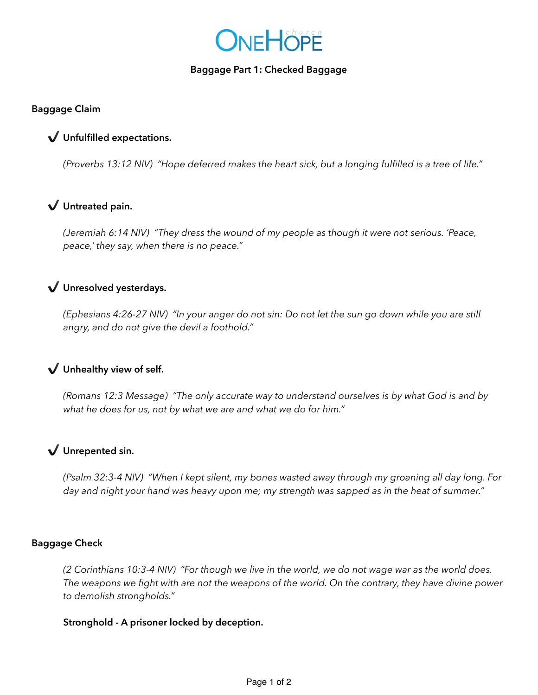

### **Baggage Part 1: Checked Baggage**

### **Baggage Claim**

## ✔ **Unfulfilled expectations.**

*(Proverbs 13:12 NIV) "Hope deferred makes the heart sick, but a longing fulfilled is a tree of life."* 

# ✔ **Untreated pain.**

*(Jeremiah 6:14 NIV) "They dress the wound of my people as though it were not serious. 'Peace, peace,' they say, when there is no peace."* 

# ✔ **Unresolved yesterdays.**

*(Ephesians 4:26-27 NIV) "In your anger do not sin: Do not let the sun go down while you are still angry, and do not give the devil a foothold."*

## ✔ **Unhealthy view of self.**

*(Romans 12:3 Message) "The only accurate way to understand ourselves is by what God is and by what he does for us, not by what we are and what we do for him."*

# ✔ **Unrepented sin.**

*(Psalm 32:3-4 NIV) "When I kept silent, my bones wasted away through my groaning all day long. For day and night your hand was heavy upon me; my strength was sapped as in the heat of summer."* 

#### **Baggage Check**

*(2 Corinthians 10:3-4 NIV) "For though we live in the world, we do not wage war as the world does. The weapons we fight with are not the weapons of the world. On the contrary, they have divine power to demolish strongholds."* 

### **Stronghold - A prisoner locked by deception.**